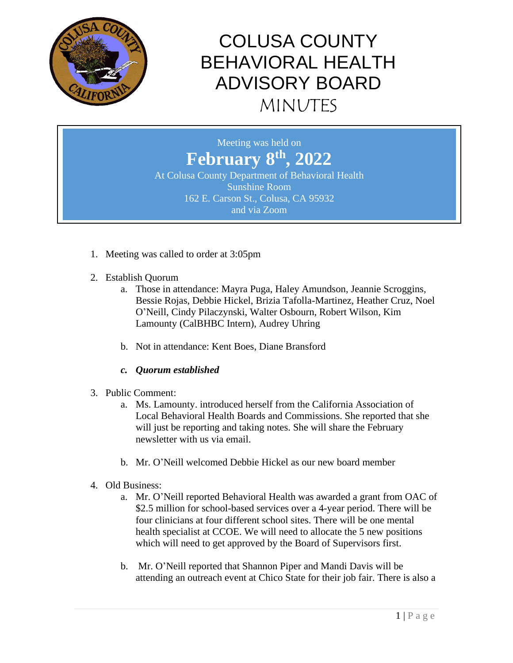

Meeting was held on **February 8 th, 2022** At Colusa County Department of Behavioral Health Sunshine Room 162 E. Carson St., Colusa, CA 95932 and via Zoom

- 1. Meeting was called to order at 3:05pm
- 2. Establish Quorum
	- a. Those in attendance: Mayra Puga, Haley Amundson, Jeannie Scroggins, Bessie Rojas, Debbie Hickel, Brizia Tafolla-Martinez, Heather Cruz, Noel O'Neill, Cindy Pilaczynski, Walter Osbourn, Robert Wilson, Kim Lamounty (CalBHBC Intern), Audrey Uhring
	- b. Not in attendance: Kent Boes, Diane Bransford

### *c. Quorum established*

- 3. Public Comment:
	- a. Ms. Lamounty. introduced herself from the California Association of Local Behavioral Health Boards and Commissions. She reported that she will just be reporting and taking notes. She will share the February newsletter with us via email.
	- b. Mr. O'Neill welcomed Debbie Hickel as our new board member
- 4. Old Business:
	- a. Mr. O'Neill reported Behavioral Health was awarded a grant from OAC of \$2.5 million for school-based services over a 4-year period. There will be four clinicians at four different school sites. There will be one mental health specialist at CCOE. We will need to allocate the 5 new positions which will need to get approved by the Board of Supervisors first.
	- b. Mr. O'Neill reported that Shannon Piper and Mandi Davis will be attending an outreach event at Chico State for their job fair. There is also a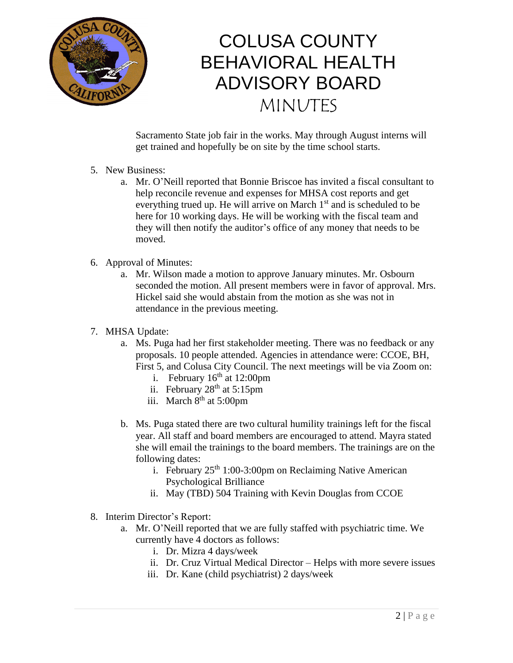

Sacramento State job fair in the works. May through August interns will get trained and hopefully be on site by the time school starts.

- 5. New Business:
	- a. Mr. O'Neill reported that Bonnie Briscoe has invited a fiscal consultant to help reconcile revenue and expenses for MHSA cost reports and get everything trued up. He will arrive on March 1<sup>st</sup> and is scheduled to be here for 10 working days. He will be working with the fiscal team and they will then notify the auditor's office of any money that needs to be moved.
- 6. Approval of Minutes:
	- a. Mr. Wilson made a motion to approve January minutes. Mr. Osbourn seconded the motion. All present members were in favor of approval. Mrs. Hickel said she would abstain from the motion as she was not in attendance in the previous meeting.
- 7. MHSA Update:
	- a. Ms. Puga had her first stakeholder meeting. There was no feedback or any proposals. 10 people attended. Agencies in attendance were: CCOE, BH, First 5, and Colusa City Council. The next meetings will be via Zoom on:
		- i. February  $16<sup>th</sup>$  at 12:00pm
		- ii. February  $28<sup>th</sup>$  at 5:15pm
		- iii. March  $8<sup>th</sup>$  at 5:00pm
	- b. Ms. Puga stated there are two cultural humility trainings left for the fiscal year. All staff and board members are encouraged to attend. Mayra stated she will email the trainings to the board members. The trainings are on the following dates:
		- i. February  $25<sup>th</sup> 1:00-3:00<sub>pm</sub>$  on Reclaiming Native American Psychological Brilliance
		- ii. May (TBD) 504 Training with Kevin Douglas from CCOE
- 8. Interim Director's Report:
	- a. Mr. O'Neill reported that we are fully staffed with psychiatric time. We currently have 4 doctors as follows:
		- i. Dr. Mizra 4 days/week
		- ii. Dr. Cruz Virtual Medical Director Helps with more severe issues
		- iii. Dr. Kane (child psychiatrist) 2 days/week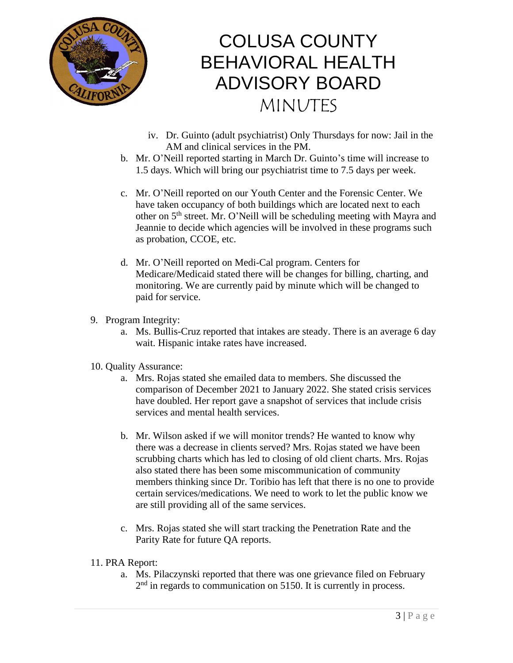

- iv. Dr. Guinto (adult psychiatrist) Only Thursdays for now: Jail in the AM and clinical services in the PM.
- b. Mr. O'Neill reported starting in March Dr. Guinto's time will increase to 1.5 days. Which will bring our psychiatrist time to 7.5 days per week.
- c. Mr. O'Neill reported on our Youth Center and the Forensic Center. We have taken occupancy of both buildings which are located next to each other on 5<sup>th</sup> street. Mr. O'Neill will be scheduling meeting with Mayra and Jeannie to decide which agencies will be involved in these programs such as probation, CCOE, etc.
- d. Mr. O'Neill reported on Medi-Cal program. Centers for Medicare/Medicaid stated there will be changes for billing, charting, and monitoring. We are currently paid by minute which will be changed to paid for service.
- 9. Program Integrity:
	- a. Ms. Bullis-Cruz reported that intakes are steady. There is an average 6 day wait. Hispanic intake rates have increased.

#### 10. Quality Assurance:

- a. Mrs. Rojas stated she emailed data to members. She discussed the comparison of December 2021 to January 2022. She stated crisis services have doubled. Her report gave a snapshot of services that include crisis services and mental health services.
- b. Mr. Wilson asked if we will monitor trends? He wanted to know why there was a decrease in clients served? Mrs. Rojas stated we have been scrubbing charts which has led to closing of old client charts. Mrs. Rojas also stated there has been some miscommunication of community members thinking since Dr. Toribio has left that there is no one to provide certain services/medications. We need to work to let the public know we are still providing all of the same services.
- c. Mrs. Rojas stated she will start tracking the Penetration Rate and the Parity Rate for future QA reports.
- 11. PRA Report:
	- a. Ms. Pilaczynski reported that there was one grievance filed on February  $2<sup>nd</sup>$  in regards to communication on 5150. It is currently in process.